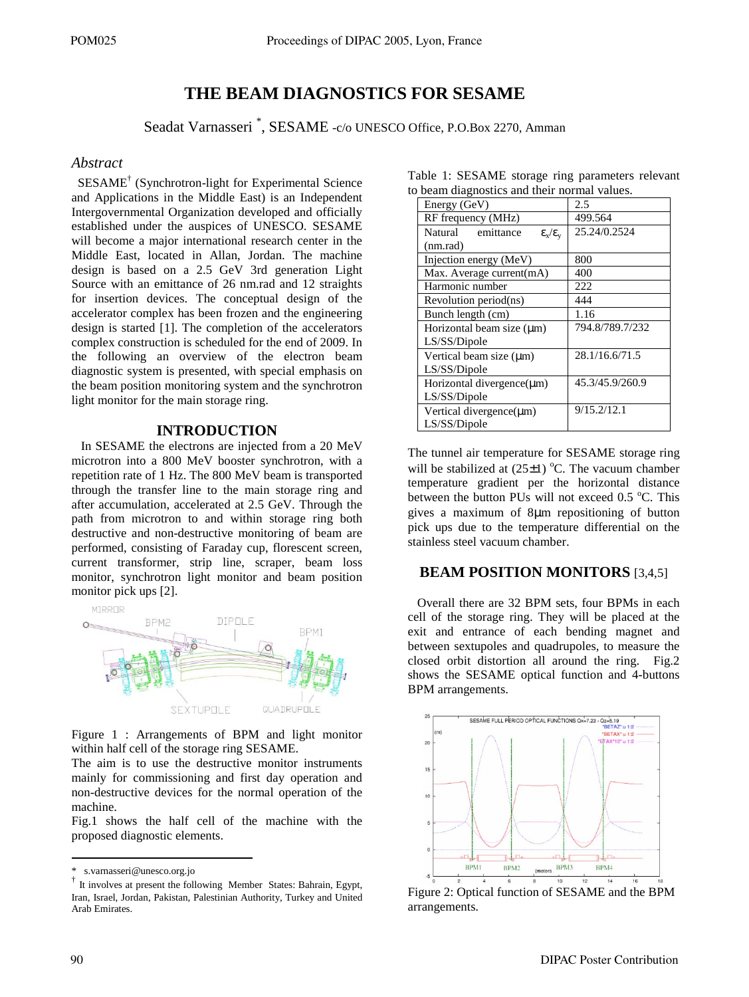# **THE BEAM DIAGNOSTICS FOR SESAME**

Seadat Varnasseri \* , SESAME -c/o UNESCO Office, P.O.Box 2270, Amman

### *Abstract*

 SESAME† (Synchrotron-light for Experimental Science and Applications in the Middle East) is an Independent Intergovernmental Organization developed and officially established under the auspices of UNESCO. SESAME will become a major international research center in the Middle East, located in Allan, Jordan. The machine design is based on a 2.5 GeV 3rd generation Light Source with an emittance of 26 nm.rad and 12 straights for insertion devices. The conceptual design of the accelerator complex has been frozen and the engineering design is started [1]. The completion of the accelerators complex construction is scheduled for the end of 2009. In the following an overview of the electron beam diagnostic system is presented, with special emphasis on the beam position monitoring system and the synchrotron light monitor for the main storage ring.

## **INTRODUCTION**

 In SESAME the electrons are injected from a 20 MeV microtron into a 800 MeV booster synchrotron, with a repetition rate of 1 Hz. The 800 MeV beam is transported through the transfer line to the main storage ring and after accumulation, accelerated at 2.5 GeV. Through the path from microtron to and within storage ring both destructive and non-destructive monitoring of beam are performed, consisting of Faraday cup, florescent screen, current transformer, strip line, scraper, beam loss monitor, synchrotron light monitor and beam position monitor pick ups [2].



Figure 1 : Arrangements of BPM and light monitor within half cell of the storage ring SESAME.

The aim is to use the destructive monitor instruments mainly for commissioning and first day operation and non-destructive devices for the normal operation of the machine.

Fig.1 shows the half cell of the machine with the proposed diagnostic elements.

| b beam diagnostics and their normal values.                 |                 |
|-------------------------------------------------------------|-----------------|
| Energy (GeV)                                                | 2.5             |
| RF frequency (MHz)                                          | 499.564         |
| emittance<br>Natural<br>$\epsilon_{\rm x}/\epsilon_{\rm v}$ | 25.24/0.2524    |
| (nm.rad)                                                    |                 |
| Injection energy (MeV)                                      | 800             |
| Max. Average current(mA)                                    | 400             |
| Harmonic number                                             | 222             |
| Revolution period(ns)                                       | 444             |
| Bunch length (cm)                                           | 1.16            |
| Horizontal beam size $(\mu m)$                              | 794.8/789.7/232 |
| LS/SS/Dipole                                                |                 |
| Vertical beam size $(\mu m)$                                | 28.1/16.6/71.5  |
| LS/SS/Dipole                                                |                 |
| Horizontal divergence(µm)                                   | 45.3/45.9/260.9 |
| LS/SS/Dipole                                                |                 |
| Vertical divergence(µm)                                     | 9/15.2/12.1     |
| LS/SS/Dipole                                                |                 |

Table 1: SESAME storage ring parameters relevant to beam diagnostics and their normal values.

The tunnel air temperature for SESAME storage ring will be stabilized at  $(25\pm 1)$  °C. The vacuum chamber temperature gradient per the horizontal distance between the button PUs will not exceed 0.5  $\degree$ C. This gives a maximum of 8µm repositioning of button pick ups due to the temperature differential on the stainless steel vacuum chamber.

## **BEAM POSITION MONITORS** [3,4,5]

 Overall there are 32 BPM sets, four BPMs in each cell of the storage ring. They will be placed at the exit and entrance of each bending magnet and between sextupoles and quadrupoles, to measure the closed orbit distortion all around the ring. Fig.2 shows the SESAME optical function and 4-buttons BPM arrangements.



Figure 2: Optical function of SESAME and the BPM arrangements.

<u>.</u>

s.varnasseri@unesco.org.jo

<sup>†</sup> It involves at present the following Member States: Bahrain, Egypt, Iran, Israel, Jordan, Pakistan, Palestinian Authority, Turkey and United Arab Emirates.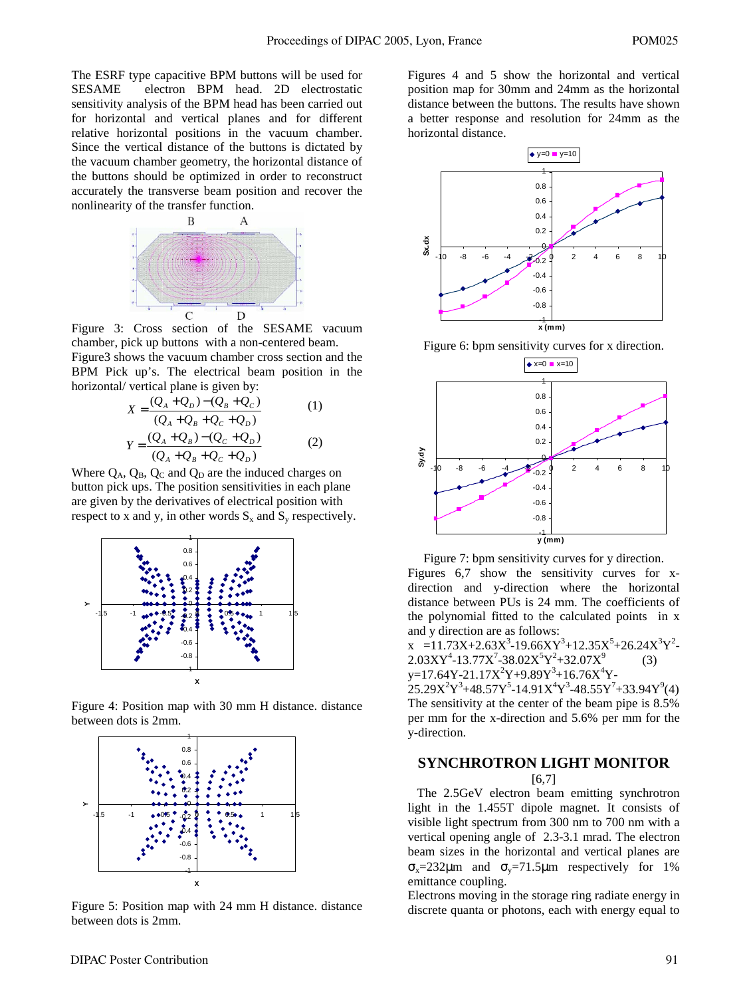The ESRF type capacitive BPM buttons will be used for SESAME electron BPM head. 2D electrostatic sensitivity analysis of the BPM head has been carried out for horizontal and vertical planes and for different relative horizontal positions in the vacuum chamber. Since the vertical distance of the buttons is dictated by the vacuum chamber geometry, the horizontal distance of the buttons should be optimized in order to reconstruct accurately the transverse beam position and recover the nonlinearity of the transfer function.



Figure 3: Cross section of the SESAME vacuum chamber, pick up buttons with a non-centered beam. Figure3 shows the vacuum chamber cross section and the BPM Pick up's. The electrical beam position in the horizontal/ vertical plane is given by:

$$
X = \frac{(Q_A + Q_D) - (Q_B + Q_C)}{(Q_A + Q_B + Q_C + Q_D)}
$$
(1)  

$$
Y = \frac{(Q_A + Q_B) - (Q_C + Q_D)}{(Q_A + Q_B + Q_C + Q_D)}
$$
(2)

Where  $Q_A$ ,  $Q_B$ ,  $Q_C$  and  $Q_D$  are the induced charges on button pick ups. The position sensitivities in each plane are given by the derivatives of electrical position with respect to x and y, in other words  $S_x$  and  $S_y$  respectively.



Figure 4: Position map with 30 mm H distance. distance between dots is 2mm.



Figure 5: Position map with 24 mm H distance. distance between dots is 2mm.

Figures 4 and 5 show the horizontal and vertical position map for 30mm and 24mm as the horizontal distance between the buttons. The results have shown a better response and resolution for 24mm as the horizontal distance.



Figure 6: bpm sensitivity curves for x direction.



Figure 7: bpm sensitivity curves for y direction. Figures 6,7 show the sensitivity curves for xdirection and y-direction where the horizontal distance between PUs is 24 mm. The coefficients of the polynomial fitted to the calculated points in x and y direction are as follows:

 $x = 11.73X + 2.63X^3 - 19.66XY^3 + 12.35X^5 + 26.24X^3Y^2$  $2.03XY^4$ -13.77X<sup>7</sup>-38.02X<sup>5</sup>Y<sup>2</sup>+32.07X<sup>9</sup> (3) y=17.64Y-21.17X<sup>2</sup>Y+9.89Y<sup>3</sup>+16.76X<sup>4</sup>Y-

 $25.29X<sup>2</sup>Y<sup>3</sup>+48.57Y<sup>5</sup>-14.91X<sup>4</sup>Y<sup>3</sup>-48.55Y<sup>7</sup>+33.94Y<sup>9</sup>(4)$ The sensitivity at the center of the beam pipe is 8.5% per mm for the x-direction and 5.6% per mm for the y-direction.

# **SYNCHROTRON LIGHT MONITOR**

[6,7]

 The 2.5GeV electron beam emitting synchrotron light in the 1.455T dipole magnet. It consists of visible light spectrum from 300 nm to 700 nm with a vertical opening angle of 2.3-3.1 mrad. The electron beam sizes in the horizontal and vertical planes are  $\sigma_{\rm x}$ =232 $\mu$ m and  $\sigma_{\rm y}$ =71.5 $\mu$ m respectively for 1% emittance coupling.

Electrons moving in the storage ring radiate energy in discrete quanta or photons, each with energy equal to